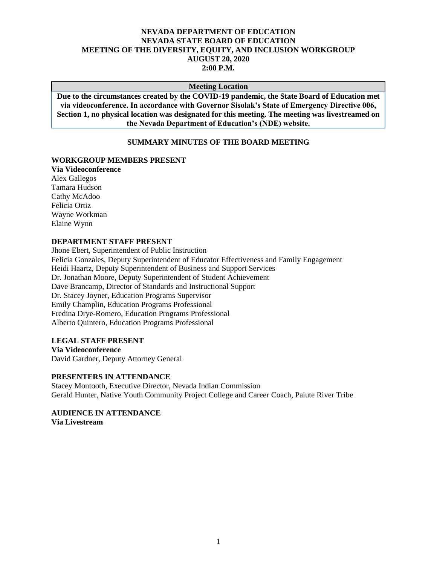## **NEVADA DEPARTMENT OF EDUCATION NEVADA STATE BOARD OF EDUCATION MEETING OF THE DIVERSITY, EQUITY, AND INCLUSION WORKGROUP AUGUST 20, 2020 2:00 P.M.**

#### **Meeting Location**

**Due to the circumstances created by the COVID-19 pandemic, the State Board of Education met via videoconference. In accordance with Governor Sisolak's State of Emergency Directive 006, Section 1, no physical location was designated for this meeting. The meeting was livestreamed on the Nevada Department of Education's (NDE) website.**

### **SUMMARY MINUTES OF THE BOARD MEETING**

#### **WORKGROUP MEMBERS PRESENT**

**Via Videoconference** Alex Gallegos Tamara Hudson Cathy McAdoo Felicia Ortiz Wayne Workman Elaine Wynn

#### **DEPARTMENT STAFF PRESENT**

Jhone Ebert, Superintendent of Public Instruction Felicia Gonzales, Deputy Superintendent of Educator Effectiveness and Family Engagement Heidi Haartz, Deputy Superintendent of Business and Support Services Dr. Jonathan Moore, Deputy Superintendent of Student Achievement Dave Brancamp, Director of Standards and Instructional Support Dr. Stacey Joyner, Education Programs Supervisor Emily Champlin, Education Programs Professional Fredina Drye-Romero, Education Programs Professional Alberto Quintero, Education Programs Professional

### **LEGAL STAFF PRESENT**

**Via Videoconference** David Gardner, Deputy Attorney General

#### **PRESENTERS IN ATTENDANCE**

Stacey Montooth, Executive Director, Nevada Indian Commission Gerald Hunter, Native Youth Community Project College and Career Coach, Paiute River Tribe

#### **AUDIENCE IN ATTENDANCE Via Livestream**

1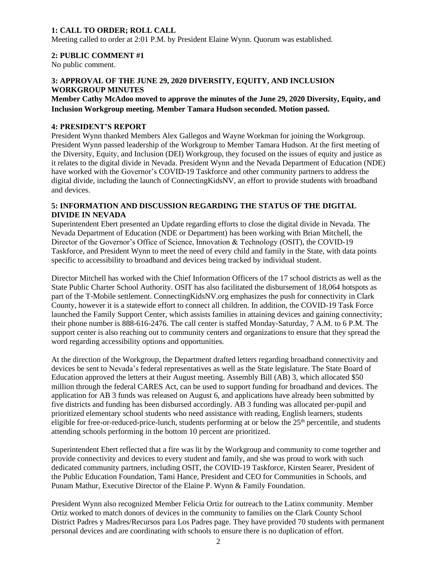# **1: CALL TO ORDER; ROLL CALL**

Meeting called to order at 2:01 P.M. by President Elaine Wynn. Quorum was established.

# **2: PUBLIC COMMENT #1**

No public comment.

# **3: APPROVAL OF THE JUNE 29, 2020 DIVERSITY, EQUITY, AND INCLUSION WORKGROUP MINUTES**

**Member Cathy McAdoo moved to approve the minutes of the June 29, 2020 Diversity, Equity, and Inclusion Workgroup meeting. Member Tamara Hudson seconded. Motion passed.** 

## **4: PRESIDENT'S REPORT**

President Wynn thanked Members Alex Gallegos and Wayne Workman for joining the Workgroup. President Wynn passed leadership of the Workgroup to Member Tamara Hudson. At the first meeting of the Diversity, Equity, and Inclusion (DEI) Workgroup, they focused on the issues of equity and justice as it relates to the digital divide in Nevada. President Wynn and the Nevada Department of Education (NDE) have worked with the Governor's COVID-19 Taskforce and other community partners to address the digital divide, including the launch of ConnectingKidsNV, an effort to provide students with broadband and devices.

# **5: INFORMATION AND DISCUSSION REGARDING THE STATUS OF THE DIGITAL DIVIDE IN NEVADA**

Superintendent Ebert presented an Update regarding efforts to close the digital divide in Nevada. The Nevada Department of Education (NDE or Department) has been working with Brian Mitchell, the Director of the Governor's Office of Science, Innovation & Technology (OSIT), the COVID-19 Taskforce, and President Wynn to meet the need of every child and family in the State, with data points specific to accessibility to broadband and devices being tracked by individual student.

Director Mitchell has worked with the Chief Information Officers of the 17 school districts as well as the State Public Charter School Authority. OSIT has also facilitated the disbursement of 18,064 hotspots as part of the T-Mobile settlement. ConnectingKidsNV.org emphasizes the push for connectivity in Clark County, however it is a statewide effort to connect all children. In addition, the COVID-19 Task Force launched the Family Support Center, which assists families in attaining devices and gaining connectivity; their phone number is 888-616-2476. The call center is staffed Monday-Saturday, 7 A.M. to 6 P.M. The support center is also reaching out to community centers and organizations to ensure that they spread the word regarding accessibility options and opportunities.

At the direction of the Workgroup, the Department drafted letters regarding broadband connectivity and devices be sent to Nevada's federal representatives as well as the State legislature. The State Board of Education approved the letters at their August meeting. Assembly Bill (AB) 3, which allocated \$50 million through the federal CARES Act, can be used to support funding for broadband and devices. The application for AB 3 funds was released on August 6, and applications have already been submitted by five districts and funding has been disbursed accordingly. AB 3 funding was allocated per-pupil and prioritized elementary school students who need assistance with reading, English learners, students eligible for free-or-reduced-price-lunch, students performing at or below the 25<sup>th</sup> percentile, and students attending schools performing in the bottom 10 percent are prioritized.

Superintendent Ebert reflected that a fire was lit by the Workgroup and community to come together and provide connectivity and devices to every student and family, and she was proud to work with such dedicated community partners, including OSIT, the COVID-19 Taskforce, Kirsten Searer, President of the Public Education Foundation, Tami Hance, President and CEO for Communities in Schools, and Punam Mathur, Executive Director of the Elaine P. Wynn & Family Foundation.

President Wynn also recognized Member Felicia Ortiz for outreach to the Latinx community. Member Ortiz worked to match donors of devices in the community to families on the Clark County School District Padres y Madres/Recursos para Los Padres page. They have provided 70 students with permanent personal devices and are coordinating with schools to ensure there is no duplication of effort.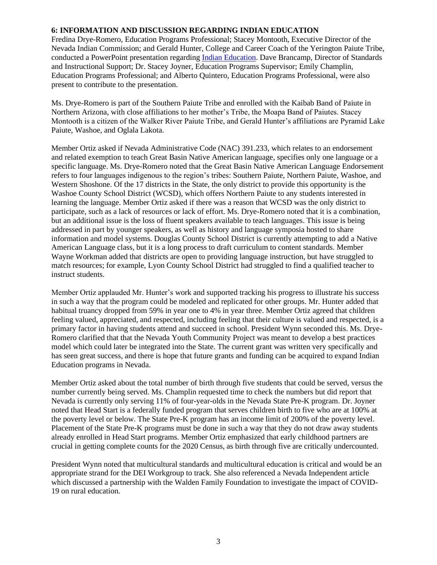## **6: INFORMATION AND DISCUSSION REGARDING INDIAN EDUCATION**

Fredina Drye-Romero, Education Programs Professional; Stacey Montooth, Executive Director of the Nevada Indian Commission; and Gerald Hunter, College and Career Coach of the Yerington Paiute Tribe, conducted a PowerPoint presentation regarding [Indian Education.](http://www.doe.nv.gov/uploadedFiles/ndedoenvgov/content/Boards_Commissions_Councils/State_Board_of_Education/2020/August/DEIWorkgroup.pdf) Dave Brancamp, Director of Standards and Instructional Support; Dr. Stacey Joyner, Education Programs Supervisor; Emily Champlin, Education Programs Professional; and Alberto Quintero, Education Programs Professional, were also present to contribute to the presentation.

Ms. Drye-Romero is part of the Southern Paiute Tribe and enrolled with the Kaibab Band of Paiute in Northern Arizona, with close affiliations to her mother's Tribe, the Moapa Band of Paiutes. Stacey Montooth is a citizen of the Walker River Paiute Tribe, and Gerald Hunter's affiliations are Pyramid Lake Paiute, Washoe, and Oglala Lakota.

Member Ortiz asked if Nevada Administrative Code (NAC) 391.233, which relates to an endorsement and related exemption to teach Great Basin Native American language, specifies only one language or a specific language. Ms. Drye-Romero noted that the Great Basin Native American Language Endorsement refers to four languages indigenous to the region's tribes: Southern Paiute, Northern Paiute, Washoe, and Western Shoshone. Of the 17 districts in the State, the only district to provide this opportunity is the Washoe County School District (WCSD), which offers Northern Paiute to any students interested in learning the language. Member Ortiz asked if there was a reason that WCSD was the only district to participate, such as a lack of resources or lack of effort. Ms. Drye-Romero noted that it is a combination, but an additional issue is the loss of fluent speakers available to teach languages. This issue is being addressed in part by younger speakers, as well as history and language symposia hosted to share information and model systems. Douglas County School District is currently attempting to add a Native American Language class, but it is a long process to draft curriculum to content standards. Member Wayne Workman added that districts are open to providing language instruction, but have struggled to match resources; for example, Lyon County School District had struggled to find a qualified teacher to instruct students.

Member Ortiz applauded Mr. Hunter's work and supported tracking his progress to illustrate his success in such a way that the program could be modeled and replicated for other groups. Mr. Hunter added that habitual truancy dropped from 59% in year one to 4% in year three. Member Ortiz agreed that children feeling valued, appreciated, and respected, including feeling that their culture is valued and respected, is a primary factor in having students attend and succeed in school. President Wynn seconded this. Ms. Drye-Romero clarified that that the Nevada Youth Community Project was meant to develop a best practices model which could later be integrated into the State. The current grant was written very specifically and has seen great success, and there is hope that future grants and funding can be acquired to expand Indian Education programs in Nevada.

Member Ortiz asked about the total number of birth through five students that could be served, versus the number currently being served. Ms. Champlin requested time to check the numbers but did report that Nevada is currently only serving 11% of four-year-olds in the Nevada State Pre-K program. Dr. Joyner noted that Head Start is a federally funded program that serves children birth to five who are at 100% at the poverty level or below. The State Pre-K program has an income limit of 200% of the poverty level. Placement of the State Pre-K programs must be done in such a way that they do not draw away students already enrolled in Head Start programs. Member Ortiz emphasized that early childhood partners are crucial in getting complete counts for the 2020 Census, as birth through five are critically undercounted.

President Wynn noted that multicultural standards and multicultural education is critical and would be an appropriate strand for the DEI Workgroup to track. She also referenced a Nevada Independent article which discussed a partnership with the Walden Family Foundation to investigate the impact of COVID-19 on rural education.